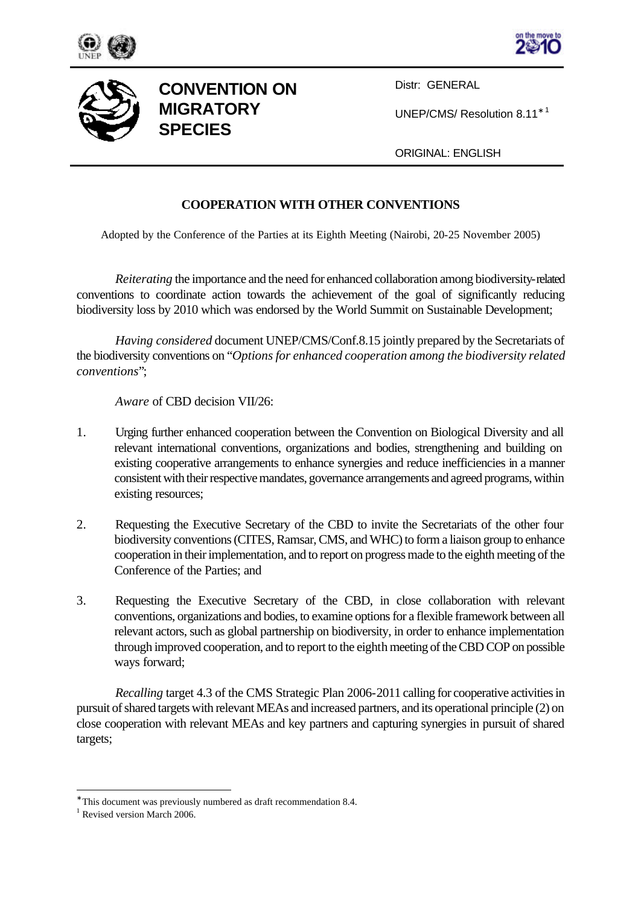





## **CONVENTION ON MIGRATORY SPECIES**

Distr: GENERAL

UNEP/CMS/ Resolution 8.11<sup>∗</sup> <sup>1</sup>

ORIGINAL: ENGLISH

## **COOPERATION WITH OTHER CONVENTIONS**

Adopted by the Conference of the Parties at its Eighth Meeting (Nairobi, 20-25 November 2005)

*Reiterating* the importance and the need for enhanced collaboration among biodiversity-related conventions to coordinate action towards the achievement of the goal of significantly reducing biodiversity loss by 2010 which was endorsed by the World Summit on Sustainable Development;

*Having considered* document UNEP/CMS/Conf.8.15 jointly prepared by the Secretariats of the biodiversity conventions on "*Options for enhanced cooperation among the biodiversity related conventions*";

*Aware* of CBD decision VII/26:

- 1. Urging further enhanced cooperation between the Convention on Biological Diversity and all relevant international conventions, organizations and bodies, strengthening and building on existing cooperative arrangements to enhance synergies and reduce inefficiencies in a manner consistent with their respective mandates, governance arrangements and agreed programs, within existing resources;
- 2. Requesting the Executive Secretary of the CBD to invite the Secretariats of the other four biodiversity conventions (CITES, Ramsar, CMS, and WHC) to form a liaison group to enhance cooperation in their implementation, and to report on progress made to the eighth meeting of the Conference of the Parties; and
- 3. Requesting the Executive Secretary of the CBD, in close collaboration with relevant conventions, organizations and bodies, to examine options for a flexible framework between all relevant actors, such as global partnership on biodiversity, in order to enhance implementation through improved cooperation, and to report to the eighth meeting of the CBD COP on possible ways forward;

*Recalling* target 4.3 of the CMS Strategic Plan 2006-2011 calling for cooperative activities in pursuit of shared targets with relevant MEAs and increased partners, and its operational principle (2) on close cooperation with relevant MEAs and key partners and capturing synergies in pursuit of shared targets;

l

<sup>∗</sup> This document was previously numbered as draft recommendation 8.4.

<sup>&</sup>lt;sup>1</sup> Revised version March 2006.